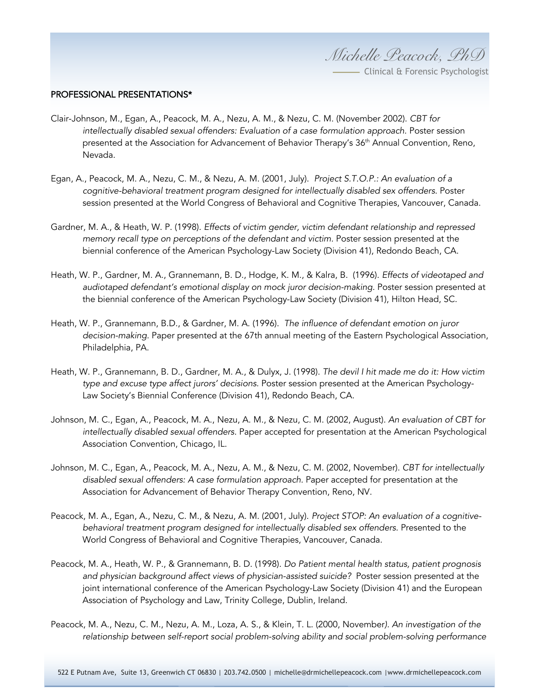*Michelle Peacock, PhD*

- Clinical & Forensic Psychologist

## PROFESSIONAL PRESENTATIONS\*

- Clair-Johnson, M., Egan, A., Peacock, M. A., Nezu, A. M., & Nezu, C. M. (November 2002). *CBT for intellectually disabled sexual offenders: Evaluation of a case formulation approach.* Poster session presented at the Association for Advancement of Behavior Therapy's 36<sup>th</sup> Annual Convention, Reno, Nevada.
- Egan, A., Peacock, M. A., Nezu, C. M., & Nezu, A. M. (2001, July). *Project S.T.O.P.: An evaluation of a cognitive-behavioral treatment program designed for intellectually disabled sex offenders*. Poster session presented at the World Congress of Behavioral and Cognitive Therapies, Vancouver, Canada.
- Gardner, M. A., & Heath, W. P. (1998). *Effects of victim gender, victim defendant relationship and repressed memory recall type on perceptions of the defendant and victim.* Poster session presented at the biennial conference of the American Psychology-Law Society (Division 41), Redondo Beach, CA.
- Heath, W. P., Gardner, M. A., Grannemann, B. D., Hodge, K. M., & Kalra, B. (1996). *Effects of videotaped and audiotaped defendant's emotional display on mock juror decision-making.* Poster session presented at the biennial conference of the American Psychology-Law Society (Division 41), Hilton Head, SC.
- Heath, W. P., Grannemann, B.D., & Gardner, M. A. (1996). *The influence of defendant emotion on juror decision-making.* Paper presented at the 67th annual meeting of the Eastern Psychological Association, Philadelphia, PA.
- Heath, W. P., Grannemann, B. D., Gardner, M. A., & Dulyx, J. (1998). *The devil I hit made me do it: How victim type and excuse type affect jurors' decisions.* Poster session presented at the American Psychology-Law Society's Biennial Conference (Division 41), Redondo Beach, CA.
- Johnson, M. C., Egan, A., Peacock, M. A., Nezu, A. M., & Nezu, C. M. (2002, August). *An evaluation of CBT for intellectually disabled sexual offenders.* Paper accepted for presentation at the American Psychological Association Convention, Chicago, IL.
- Johnson, M. C., Egan, A., Peacock, M. A., Nezu, A. M., & Nezu, C. M. (2002, November). *CBT for intellectually disabled sexual offenders: A case formulation approach.* Paper accepted for presentation at the Association for Advancement of Behavior Therapy Convention, Reno, NV.
- Peacock, M. A., Egan, A., Nezu, C. M., & Nezu, A. M. (2001, July). *Project STOP: An evaluation of a cognitivebehavioral treatment program designed for intellectually disabled sex offenders.* Presented to the World Congress of Behavioral and Cognitive Therapies, Vancouver, Canada.
- Peacock, M. A., Heath, W. P., & Grannemann, B. D. (1998). *Do Patient mental health status, patient prognosis and physician background affect views of physician-assisted suicide?* Poster session presented at the joint international conference of the American Psychology-Law Society (Division 41) and the European Association of Psychology and Law, Trinity College, Dublin, Ireland.
- Peacock, M. A., Nezu, C. M., Nezu, A. M., Loza, A. S., & Klein, T. L. (2000, November*). An investigation of the relationship between self-report social problem-solving ability and social problem-solving performance*